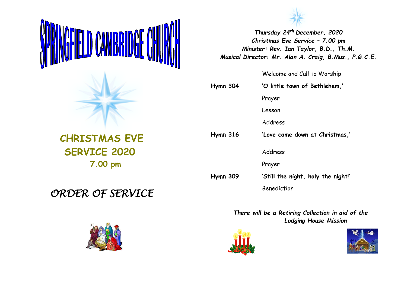



*Thursday 24th December, 2020 Christmas Eve Service – 7.00 pm Minister: Rev. Ian Taylor, B.D., Th.M. Musical Director: Mr. Alan A. Craig, B.Mus., P.G.C.E.*

Welcome and Call to Worship

| $Hymn$ 304      | 'O little town of Bethlehem,'      |
|-----------------|------------------------------------|
|                 | Prayer                             |
|                 | Lesson                             |
|                 | Address                            |
| $Hymn$ 316      | 'Love came down at Christmas,'     |
|                 | Address                            |
|                 | Prayer                             |
| <b>Hymn 309</b> | 'Still the night, holy the night!' |
|                 | Benediction                        |

*There will be a Retiring Collection in aid of the Lodging House Mission*





 **CHRISTMAS EVE SERVICE 2020 7.00 pm**

## *ORDER OF SERVICE*